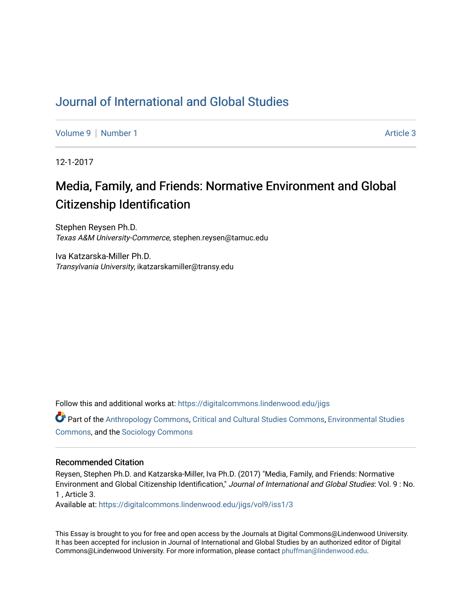## [Journal of International and Global Studies](https://digitalcommons.lindenwood.edu/jigs)

[Volume 9](https://digitalcommons.lindenwood.edu/jigs/vol9) | [Number 1](https://digitalcommons.lindenwood.edu/jigs/vol9/iss1) Article 3

12-1-2017

# Media, Family, and Friends: Normative Environment and Global Citizenship Identification

Stephen Reysen Ph.D. Texas A&M University-Commerce, stephen.reysen@tamuc.edu

Iva Katzarska-Miller Ph.D. Transylvania University, ikatzarskamiller@transy.edu

Follow this and additional works at: [https://digitalcommons.lindenwood.edu/jigs](https://digitalcommons.lindenwood.edu/jigs?utm_source=digitalcommons.lindenwood.edu%2Fjigs%2Fvol9%2Fiss1%2F3&utm_medium=PDF&utm_campaign=PDFCoverPages) 

Part of the [Anthropology Commons](http://network.bepress.com/hgg/discipline/318?utm_source=digitalcommons.lindenwood.edu%2Fjigs%2Fvol9%2Fiss1%2F3&utm_medium=PDF&utm_campaign=PDFCoverPages), [Critical and Cultural Studies Commons](http://network.bepress.com/hgg/discipline/328?utm_source=digitalcommons.lindenwood.edu%2Fjigs%2Fvol9%2Fiss1%2F3&utm_medium=PDF&utm_campaign=PDFCoverPages), [Environmental Studies](http://network.bepress.com/hgg/discipline/1333?utm_source=digitalcommons.lindenwood.edu%2Fjigs%2Fvol9%2Fiss1%2F3&utm_medium=PDF&utm_campaign=PDFCoverPages)  [Commons](http://network.bepress.com/hgg/discipline/1333?utm_source=digitalcommons.lindenwood.edu%2Fjigs%2Fvol9%2Fiss1%2F3&utm_medium=PDF&utm_campaign=PDFCoverPages), and the [Sociology Commons](http://network.bepress.com/hgg/discipline/416?utm_source=digitalcommons.lindenwood.edu%2Fjigs%2Fvol9%2Fiss1%2F3&utm_medium=PDF&utm_campaign=PDFCoverPages)

#### Recommended Citation

Reysen, Stephen Ph.D. and Katzarska-Miller, Iva Ph.D. (2017) "Media, Family, and Friends: Normative Environment and Global Citizenship Identification," Journal of International and Global Studies: Vol. 9 : No. 1 , Article 3.

Available at: [https://digitalcommons.lindenwood.edu/jigs/vol9/iss1/3](https://digitalcommons.lindenwood.edu/jigs/vol9/iss1/3?utm_source=digitalcommons.lindenwood.edu%2Fjigs%2Fvol9%2Fiss1%2F3&utm_medium=PDF&utm_campaign=PDFCoverPages)

This Essay is brought to you for free and open access by the Journals at Digital Commons@Lindenwood University. It has been accepted for inclusion in Journal of International and Global Studies by an authorized editor of Digital Commons@Lindenwood University. For more information, please contact [phuffman@lindenwood.edu](mailto:phuffman@lindenwood.edu).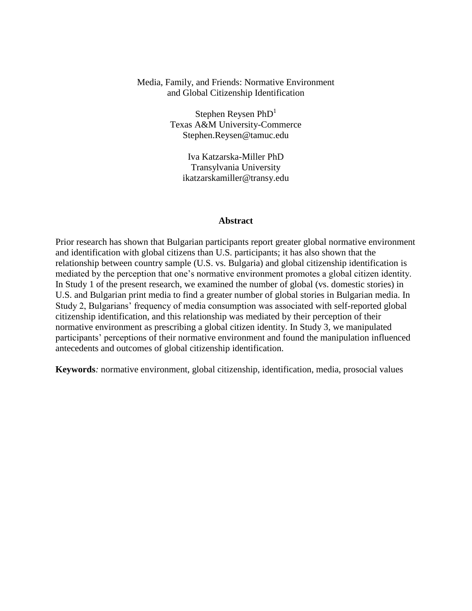#### Media, Family, and Friends: Normative Environment and Global Citizenship Identification

Stephen Reysen  $PhD<sup>1</sup>$ Texas A&M University-Commerce Stephen.Reysen@tamuc.edu

Iva Katzarska-Miller PhD Transylvania University ikatzarskamiller@transy.edu

#### **Abstract**

Prior research has shown that Bulgarian participants report greater global normative environment and identification with global citizens than U.S. participants; it has also shown that the relationship between country sample (U.S. vs. Bulgaria) and global citizenship identification is mediated by the perception that one's normative environment promotes a global citizen identity. In Study 1 of the present research, we examined the number of global (vs. domestic stories) in U.S. and Bulgarian print media to find a greater number of global stories in Bulgarian media. In Study 2, Bulgarians' frequency of media consumption was associated with self-reported global citizenship identification, and this relationship was mediated by their perception of their normative environment as prescribing a global citizen identity. In Study 3, we manipulated participants' perceptions of their normative environment and found the manipulation influenced antecedents and outcomes of global citizenship identification.

**Keywords***:* normative environment, global citizenship, identification, media, prosocial values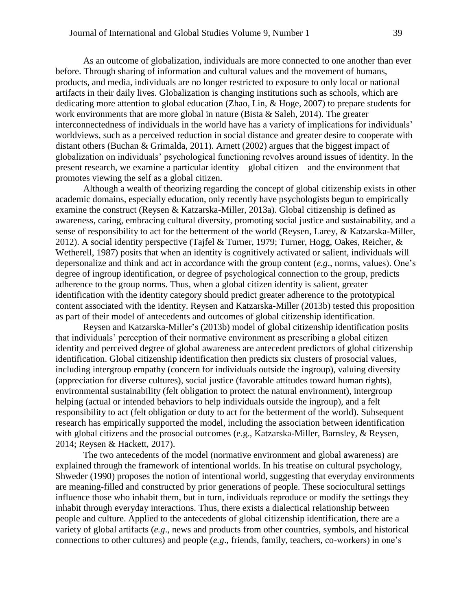As an outcome of globalization, individuals are more connected to one another than ever before. Through sharing of information and cultural values and the movement of humans, products, and media, individuals are no longer restricted to exposure to only local or national artifacts in their daily lives. Globalization is changing institutions such as schools, which are dedicating more attention to global education (Zhao, Lin, & Hoge, 2007) to prepare students for work environments that are more global in nature (Bista & Saleh, 2014). The greater interconnectedness of individuals in the world have has a variety of implications for individuals' worldviews, such as a perceived reduction in social distance and greater desire to cooperate with distant others (Buchan & Grimalda, 2011). Arnett (2002) argues that the biggest impact of globalization on individuals' psychological functioning revolves around issues of identity. In the present research, we examine a particular identity—global citizen—and the environment that promotes viewing the self as a global citizen.

Although a wealth of theorizing regarding the concept of global citizenship exists in other academic domains, especially education, only recently have psychologists begun to empirically examine the construct (Reysen & Katzarska-Miller, 2013a). Global citizenship is defined as awareness, caring, embracing cultural diversity, promoting social justice and sustainability, and a sense of responsibility to act for the betterment of the world (Reysen, Larey, & Katzarska-Miller, 2012). A social identity perspective (Tajfel & Turner, 1979; Turner, Hogg, Oakes, Reicher, & Wetherell, 1987) posits that when an identity is cognitively activated or salient, individuals will depersonalize and think and act in accordance with the group content (*e.g*., norms, values). One's degree of ingroup identification, or degree of psychological connection to the group, predicts adherence to the group norms. Thus, when a global citizen identity is salient, greater identification with the identity category should predict greater adherence to the prototypical content associated with the identity. Reysen and Katzarska-Miller (2013b) tested this proposition as part of their model of antecedents and outcomes of global citizenship identification.

Reysen and Katzarska-Miller's (2013b) model of global citizenship identification posits that individuals' perception of their normative environment as prescribing a global citizen identity and perceived degree of global awareness are antecedent predictors of global citizenship identification. Global citizenship identification then predicts six clusters of prosocial values, including intergroup empathy (concern for individuals outside the ingroup), valuing diversity (appreciation for diverse cultures), social justice (favorable attitudes toward human rights), environmental sustainability (felt obligation to protect the natural environment), intergroup helping (actual or intended behaviors to help individuals outside the ingroup), and a felt responsibility to act (felt obligation or duty to act for the betterment of the world). Subsequent research has empirically supported the model, including the association between identification with global citizens and the prosocial outcomes (e.g., Katzarska-Miller, Barnsley, & Reysen, 2014; Reysen & Hackett, 2017).

The two antecedents of the model (normative environment and global awareness) are explained through the framework of intentional worlds. In his treatise on cultural psychology, Shweder (1990) proposes the notion of intentional world, suggesting that everyday environments are meaning-filled and constructed by prior generations of people. These sociocultural settings influence those who inhabit them, but in turn, individuals reproduce or modify the settings they inhabit through everyday interactions. Thus, there exists a dialectical relationship between people and culture. Applied to the antecedents of global citizenship identification, there are a variety of global artifacts (*e.g*., news and products from other countries, symbols, and historical connections to other cultures) and people (*e.g*., friends, family, teachers, co-workers) in one's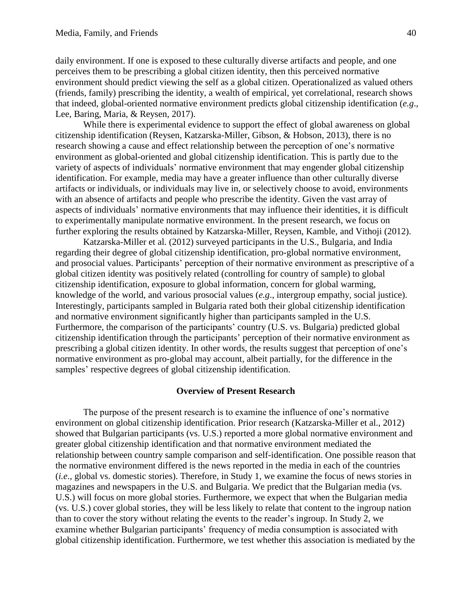daily environment. If one is exposed to these culturally diverse artifacts and people, and one perceives them to be prescribing a global citizen identity, then this perceived normative environment should predict viewing the self as a global citizen. Operationalized as valued others (friends, family) prescribing the identity, a wealth of empirical, yet correlational, research shows that indeed, global-oriented normative environment predicts global citizenship identification (*e.g*., Lee, Baring, Maria, & Reysen, 2017).

While there is experimental evidence to support the effect of global awareness on global citizenship identification (Reysen, Katzarska-Miller, Gibson, & Hobson, 2013), there is no research showing a cause and effect relationship between the perception of one's normative environment as global-oriented and global citizenship identification. This is partly due to the variety of aspects of individuals' normative environment that may engender global citizenship identification. For example, media may have a greater influence than other culturally diverse artifacts or individuals, or individuals may live in, or selectively choose to avoid, environments with an absence of artifacts and people who prescribe the identity. Given the vast array of aspects of individuals' normative environments that may influence their identities, it is difficult to experimentally manipulate normative environment. In the present research, we focus on further exploring the results obtained by Katzarska-Miller, Reysen, Kamble, and Vithoji (2012).

Katzarska-Miller et al. (2012) surveyed participants in the U.S., Bulgaria, and India regarding their degree of global citizenship identification, pro-global normative environment, and prosocial values. Participants' perception of their normative environment as prescriptive of a global citizen identity was positively related (controlling for country of sample) to global citizenship identification, exposure to global information, concern for global warming, knowledge of the world, and various prosocial values (*e.g*., intergroup empathy, social justice). Interestingly, participants sampled in Bulgaria rated both their global citizenship identification and normative environment significantly higher than participants sampled in the U.S. Furthermore, the comparison of the participants' country (U.S. vs. Bulgaria) predicted global citizenship identification through the participants' perception of their normative environment as prescribing a global citizen identity. In other words, the results suggest that perception of one's normative environment as pro-global may account, albeit partially, for the difference in the samples' respective degrees of global citizenship identification.

#### **Overview of Present Research**

The purpose of the present research is to examine the influence of one's normative environment on global citizenship identification. Prior research (Katzarska-Miller et al., 2012) showed that Bulgarian participants (vs. U.S.) reported a more global normative environment and greater global citizenship identification and that normative environment mediated the relationship between country sample comparison and self-identification. One possible reason that the normative environment differed is the news reported in the media in each of the countries (*i.e*., global vs. domestic stories). Therefore, in Study 1, we examine the focus of news stories in magazines and newspapers in the U.S. and Bulgaria. We predict that the Bulgarian media (vs. U.S.) will focus on more global stories. Furthermore, we expect that when the Bulgarian media (vs. U.S.) cover global stories, they will be less likely to relate that content to the ingroup nation than to cover the story without relating the events to the reader's ingroup. In Study 2, we examine whether Bulgarian participants' frequency of media consumption is associated with global citizenship identification. Furthermore, we test whether this association is mediated by the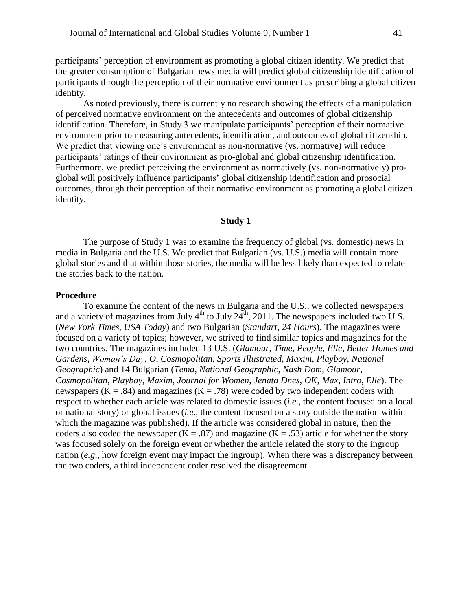participants' perception of environment as promoting a global citizen identity. We predict that the greater consumption of Bulgarian news media will predict global citizenship identification of participants through the perception of their normative environment as prescribing a global citizen identity.

As noted previously, there is currently no research showing the effects of a manipulation of perceived normative environment on the antecedents and outcomes of global citizenship identification. Therefore, in Study 3 we manipulate participants' perception of their normative environment prior to measuring antecedents, identification, and outcomes of global citizenship. We predict that viewing one's environment as non-normative (vs. normative) will reduce participants' ratings of their environment as pro-global and global citizenship identification. Furthermore, we predict perceiving the environment as normatively (vs. non-normatively) proglobal will positively influence participants' global citizenship identification and prosocial outcomes, through their perception of their normative environment as promoting a global citizen identity.

#### **Study 1**

The purpose of Study 1 was to examine the frequency of global (vs. domestic) news in media in Bulgaria and the U.S. We predict that Bulgarian (vs. U.S.) media will contain more global stories and that within those stories, the media will be less likely than expected to relate the stories back to the nation.

#### **Procedure**

To examine the content of the news in Bulgaria and the U.S., we collected newspapers and a variety of magazines from July  $4^{th}$  to July  $24^{th}$ , 2011. The newspapers included two U.S. (*New York Times*, *USA Today*) and two Bulgarian (*Standart*, *24 Hours*). The magazines were focused on a variety of topics; however, we strived to find similar topics and magazines for the two countries. The magazines included 13 U.S. (*Glamour*, *Time*, *People*, *Elle*, *Better Homes and Gardens*, *Woman's Day*, *O*, *Cosmopolitan*, *Sports Illustrated*, *Maxim*, *Playboy*, *National Geographic*) and 14 Bulgarian (*Tema*, *National Geographic*, *Nash Dom*, *Glamour*, *Cosmopolitan*, *Playboy*, *Maxim*, *Journal for Women*, *Jenata Dnes*, *OK*, *Max*, *Intro*, *Elle*). The newspapers ( $K = .84$ ) and magazines ( $K = .78$ ) were coded by two independent coders with respect to whether each article was related to domestic issues (*i.e*., the content focused on a local or national story) or global issues (*i.e*., the content focused on a story outside the nation within which the magazine was published). If the article was considered global in nature, then the coders also coded the newspaper  $(K = .87)$  and magazine  $(K = .53)$  article for whether the story was focused solely on the foreign event or whether the article related the story to the ingroup nation (*e.g*., how foreign event may impact the ingroup). When there was a discrepancy between the two coders, a third independent coder resolved the disagreement.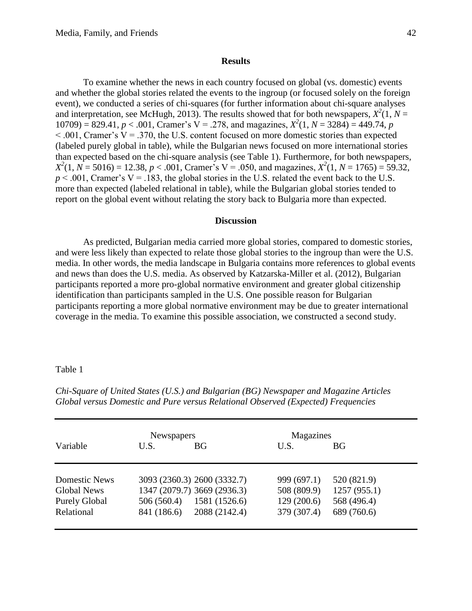#### **Results**

To examine whether the news in each country focused on global (vs. domestic) events and whether the global stories related the events to the ingroup (or focused solely on the foreign event), we conducted a series of chi-squares (for further information about chi-square analyses and interpretation, see McHugh, 2013). The results showed that for both newspapers,  $X^2(1, N =$  $10709$  = 829.41, *p* < .001, Cramer's V = .278, and magazines,  $X^2(1, N = 3284) = 449.74$ , *p*  $< .001$ , Cramer's V = .370, the U.S. content focused on more domestic stories than expected (labeled purely global in table), while the Bulgarian news focused on more international stories than expected based on the chi-square analysis (see Table 1). Furthermore, for both newspapers,  $X^2(1, N = 5016) = 12.38, p < .001$ , Cramer's V = .050, and magazines,  $X^2(1, N = 1765) = 59.32$ ,  $p < .001$ , Cramer's V = .183, the global stories in the U.S. related the event back to the U.S. more than expected (labeled relational in table), while the Bulgarian global stories tended to report on the global event without relating the story back to Bulgaria more than expected.

#### **Discussion**

As predicted, Bulgarian media carried more global stories, compared to domestic stories, and were less likely than expected to relate those global stories to the ingroup than were the U.S. media. In other words, the media landscape in Bulgaria contains more references to global events and news than does the U.S. media. As observed by Katzarska-Miller et al. (2012), Bulgarian participants reported a more pro-global normative environment and greater global citizenship identification than participants sampled in the U.S. One possible reason for Bulgarian participants reporting a more global normative environment may be due to greater international coverage in the media. To examine this possible association, we constructed a second study.

#### Table 1

|                      | <b>Newspapers</b> |                             | Magazines   |             |
|----------------------|-------------------|-----------------------------|-------------|-------------|
| Variable             | U.S.              | BG                          | U.S.        | <b>BG</b>   |
|                      |                   |                             |             |             |
| <b>Domestic News</b> |                   | 3093 (2360.3) 2600 (3332.7) | 999 (697.1) | 520 (821.9) |
| <b>Global News</b>   |                   | 1347 (2079.7) 3669 (2936.3) | 508 (809.9) | 1257(955.1) |
| <b>Purely Global</b> | 506(560.4)        | 1581 (1526.6)               | 129(200.6)  | 568 (496.4) |
| Relational           | 841 (186.6)       | 2088 (2142.4)               | 379 (307.4) | 689 (760.6) |
|                      |                   |                             |             |             |

*Chi-Square of United States (U.S.) and Bulgarian (BG) Newspaper and Magazine Articles Global versus Domestic and Pure versus Relational Observed (Expected) Frequencies*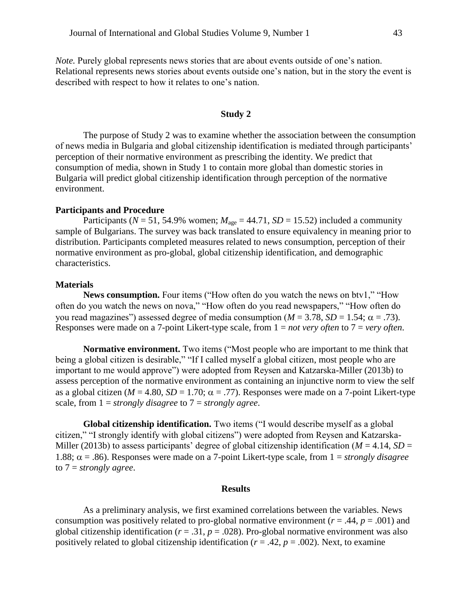*Note.* Purely global represents news stories that are about events outside of one's nation. Relational represents news stories about events outside one's nation, but in the story the event is described with respect to how it relates to one's nation.

#### **Study 2**

The purpose of Study 2 was to examine whether the association between the consumption of news media in Bulgaria and global citizenship identification is mediated through participants' perception of their normative environment as prescribing the identity. We predict that consumption of media, shown in Study 1 to contain more global than domestic stories in Bulgaria will predict global citizenship identification through perception of the normative environment.

#### **Participants and Procedure**

Participants ( $N = 51$ , 54.9% women;  $M_{\text{age}} = 44.71$ ,  $SD = 15.52$ ) included a community sample of Bulgarians. The survey was back translated to ensure equivalency in meaning prior to distribution. Participants completed measures related to news consumption, perception of their normative environment as pro-global, global citizenship identification, and demographic characteristics.

#### **Materials**

**News consumption.** Four items ("How often do you watch the news on btv1," "How often do you watch the news on nova," "How often do you read newspapers," "How often do you read magazines") assessed degree of media consumption  $(M = 3.78, SD = 1.54; \alpha = .73)$ . Responses were made on a 7-point Likert-type scale, from 1 = *not very often* to 7 = *very often*.

**Normative environment.** Two items ("Most people who are important to me think that being a global citizen is desirable," "If I called myself a global citizen, most people who are important to me would approve") were adopted from Reysen and Katzarska-Miller (2013b) to assess perception of the normative environment as containing an injunctive norm to view the self as a global citizen ( $M = 4.80$ ,  $SD = 1.70$ ;  $\alpha = .77$ ). Responses were made on a 7-point Likert-type scale, from 1 = *strongly disagree* to 7 = *strongly agree*.

**Global citizenship identification.** Two items ("I would describe myself as a global citizen," "I strongly identify with global citizens") were adopted from Reysen and Katzarska-Miller (2013b) to assess participants' degree of global citizenship identification ( $M = 4.14$ ,  $SD =$ 1.88;  $\alpha$  = .86). Responses were made on a 7-point Likert-type scale, from 1 = *strongly disagree* to 7 = *strongly agree*.

#### **Results**

As a preliminary analysis, we first examined correlations between the variables. News consumption was positively related to pro-global normative environment ( $r = .44$ ,  $p = .001$ ) and global citizenship identification ( $r = .31$ ,  $p = .028$ ). Pro-global normative environment was also positively related to global citizenship identification ( $r = .42$ ,  $p = .002$ ). Next, to examine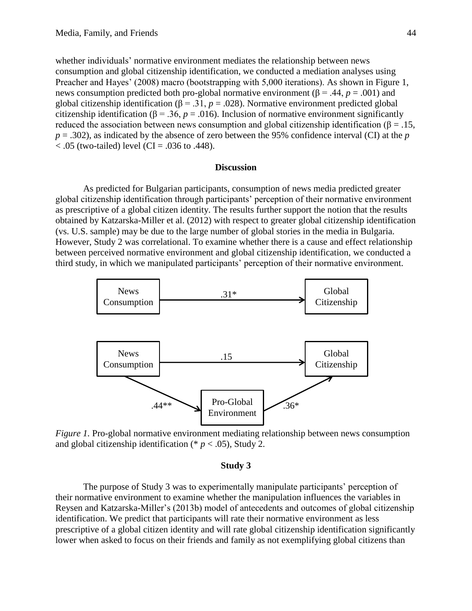whether individuals' normative environment mediates the relationship between news consumption and global citizenship identification, we conducted a mediation analyses using Preacher and Hayes' (2008) macro (bootstrapping with 5,000 iterations). As shown in Figure 1, news consumption predicted both pro-global normative environment (β = .44,  $p = .001$ ) and global citizenship identification ( $\beta = .31$ ,  $p = .028$ ). Normative environment predicted global citizenship identification ( $\beta$  = .36, *p* = .016). Inclusion of normative environment significantly reduced the association between news consumption and global citizenship identification ( $\beta = .15$ , *p* = .302), as indicated by the absence of zero between the 95% confidence interval (CI) at the *p*  $< .05$  (two-tailed) level (CI = .036 to .448).

#### **Discussion**

As predicted for Bulgarian participants, consumption of news media predicted greater global citizenship identification through participants' perception of their normative environment as prescriptive of a global citizen identity. The results further support the notion that the results obtained by Katzarska-Miller et al. (2012) with respect to greater global citizenship identification (vs. U.S. sample) may be due to the large number of global stories in the media in Bulgaria. However, Study 2 was correlational. To examine whether there is a cause and effect relationship between perceived normative environment and global citizenship identification, we conducted a third study, in which we manipulated participants' perception of their normative environment.



*Figure 1.* Pro-global normative environment mediating relationship between news consumption and global citizenship identification (\*  $p < .05$ ), Study 2.

#### **Study 3**

The purpose of Study 3 was to experimentally manipulate participants' perception of their normative environment to examine whether the manipulation influences the variables in Reysen and Katzarska-Miller's (2013b) model of antecedents and outcomes of global citizenship identification. We predict that participants will rate their normative environment as less prescriptive of a global citizen identity and will rate global citizenship identification significantly lower when asked to focus on their friends and family as not exemplifying global citizens than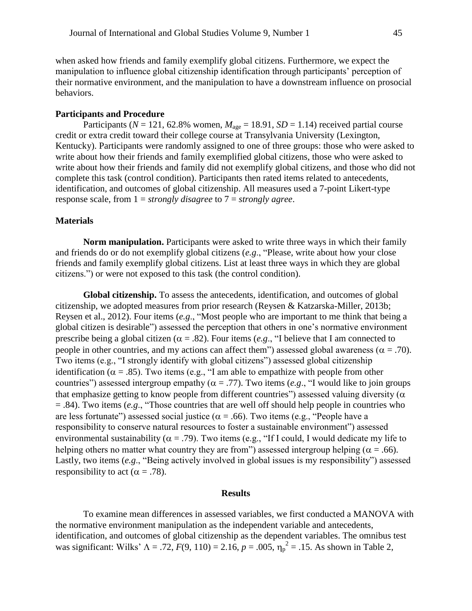when asked how friends and family exemplify global citizens. Furthermore, we expect the manipulation to influence global citizenship identification through participants' perception of their normative environment, and the manipulation to have a downstream influence on prosocial behaviors.

#### **Participants and Procedure**

Participants ( $N = 121$ , 62.8% women,  $M_{\text{age}} = 18.91$ ,  $SD = 1.14$ ) received partial course credit or extra credit toward their college course at Transylvania University (Lexington, Kentucky). Participants were randomly assigned to one of three groups: those who were asked to write about how their friends and family exemplified global citizens, those who were asked to write about how their friends and family did not exemplify global citizens, and those who did not complete this task (control condition). Participants then rated items related to antecedents, identification, and outcomes of global citizenship. All measures used a 7-point Likert-type response scale, from 1 = *strongly disagree* to 7 = *strongly agree*.

#### **Materials**

**Norm manipulation.** Participants were asked to write three ways in which their family and friends do or do not exemplify global citizens (*e.g*., "Please, write about how your close friends and family exemplify global citizens. List at least three ways in which they are global citizens.") or were not exposed to this task (the control condition).

**Global citizenship.** To assess the antecedents, identification, and outcomes of global citizenship, we adopted measures from prior research (Reysen & Katzarska-Miller, 2013b; Reysen et al., 2012). Four items (*e.g*., "Most people who are important to me think that being a global citizen is desirable") assessed the perception that others in one's normative environment prescribe being a global citizen ( $\alpha$  = .82). Four items (*e.g.*, "I believe that I am connected to people in other countries, and my actions can affect them") assessed global awareness ( $\alpha = .70$ ). Two items (e.g., "I strongly identify with global citizens") assessed global citizenship identification ( $\alpha = .85$ ). Two items (e.g., "I am able to empathize with people from other countries") assessed intergroup empathy ( $\alpha = .77$ ). Two items (*e.g.*, "I would like to join groups that emphasize getting to know people from different countries") assessed valuing diversity ( $\alpha$ = .84). Two items (*e.g*., "Those countries that are well off should help people in countries who are less fortunate") assessed social justice ( $\alpha$  = .66). Two items (e.g., "People have a responsibility to conserve natural resources to foster a sustainable environment") assessed environmental sustainability ( $\alpha = .79$ ). Two items (e.g., "If I could, I would dedicate my life to helping others no matter what country they are from") assessed intergroup helping ( $\alpha = .66$ ). Lastly, two items (*e.g*., "Being actively involved in global issues is my responsibility") assessed responsibility to act ( $\alpha = .78$ ).

#### **Results**

To examine mean differences in assessed variables, we first conducted a MANOVA with the normative environment manipulation as the independent variable and antecedents, identification, and outcomes of global citizenship as the dependent variables. The omnibus test was significant: Wilks'  $\Lambda = .72$ ,  $F(9, 110) = 2.16$ ,  $p = .005$ ,  $\eta_p^2 = .15$ . As shown in Table 2,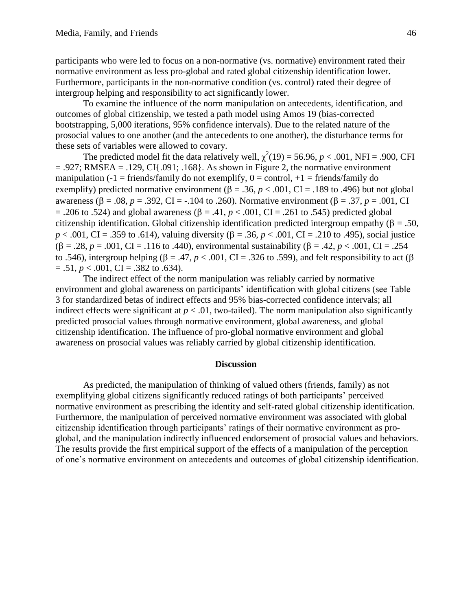participants who were led to focus on a non-normative (vs. normative) environment rated their normative environment as less pro-global and rated global citizenship identification lower. Furthermore, participants in the non-normative condition (vs. control) rated their degree of intergroup helping and responsibility to act significantly lower.

To examine the influence of the norm manipulation on antecedents, identification, and outcomes of global citizenship, we tested a path model using Amos 19 (bias-corrected bootstrapping, 5,000 iterations, 95% confidence intervals). Due to the related nature of the prosocial values to one another (and the antecedents to one another), the disturbance terms for these sets of variables were allowed to covary.

The predicted model fit the data relatively well,  $\chi^2(19) = 56.96$ ,  $p < .001$ , NFI = .900, CFI  $= .927$ ; RMSEA  $= .129$ , CI $\{.091, .168\}$ . As shown in Figure 2, the normative environment manipulation (-1 = friends/family do not exemplify,  $0 =$  control, +1 = friends/family do exemplify) predicted normative environment ( $\beta = .36$ ,  $p < .001$ , CI = .189 to .496) but not global awareness ( $\beta = .08$ ,  $p = .392$ , CI = -.104 to .260). Normative environment ( $\beta = .37$ ,  $p = .001$ , CI = .206 to .524) and global awareness ( $\beta$  = .41,  $p$  < .001, CI = .261 to .545) predicted global citizenship identification. Global citizenship identification predicted intergroup empathy ( $\beta = .50$ ,  $p < .001$ , CI = .359 to .614), valuing diversity ( $\beta = .36$ ,  $p < .001$ , CI = .210 to .495), social justice  $(\beta = .28, p = .001, CI = .116$  to .440), environmental sustainability ( $\beta = .42, p < .001$ , CI = .254 to .546), intergroup helping ( $\beta = .47$ ,  $p < .001$ , CI = .326 to .599), and felt responsibility to act ( $\beta$ )  $= .51, p < .001, CI = .382$  to  $.634$ ).

The indirect effect of the norm manipulation was reliably carried by normative environment and global awareness on participants' identification with global citizens (see Table 3 for standardized betas of indirect effects and 95% bias-corrected confidence intervals; all indirect effects were significant at  $p < .01$ , two-tailed). The norm manipulation also significantly predicted prosocial values through normative environment, global awareness, and global citizenship identification. The influence of pro-global normative environment and global awareness on prosocial values was reliably carried by global citizenship identification.

#### **Discussion**

As predicted, the manipulation of thinking of valued others (friends, family) as not exemplifying global citizens significantly reduced ratings of both participants' perceived normative environment as prescribing the identity and self-rated global citizenship identification. Furthermore, the manipulation of perceived normative environment was associated with global citizenship identification through participants' ratings of their normative environment as proglobal, and the manipulation indirectly influenced endorsement of prosocial values and behaviors. The results provide the first empirical support of the effects of a manipulation of the perception of one's normative environment on antecedents and outcomes of global citizenship identification.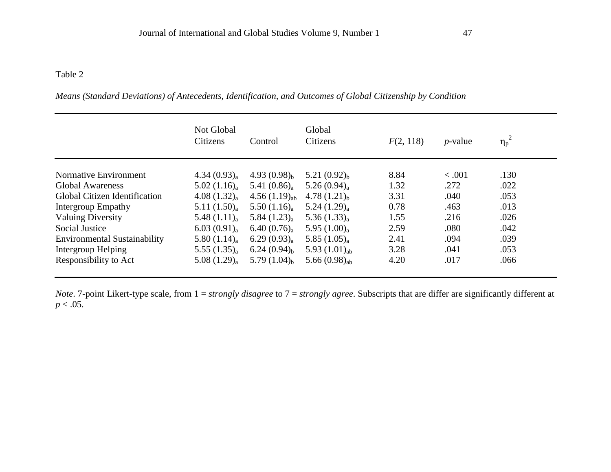## Table 2

|                                     | Not Global<br>Citizens  | Control            | Global<br>Citizens    | F(2, 118) | $p$ -value | $\eta_p^2$ |  |
|-------------------------------------|-------------------------|--------------------|-----------------------|-----------|------------|------------|--|
| Normative Environment               | 4.34 $(0.93)_{a}$       | 4.93 $(0.98)_{h}$  | 5.21 $(0.92)_{h}$     | 8.84      | < .001     | .130       |  |
| Global Awareness                    | $5.02(1.16)_{a}$        | 5.41 $(0.86)_{a}$  | 5.26 $(0.94)_{a}$     | 1.32      | .272       | .022       |  |
| Global Citizen Identification       | 4.08 $(1.32)_{a}$       | 4.56 $(1.19)_{ab}$ | 4.78 $(1.21)_{h}$     | 3.31      | .040       | .053       |  |
| Intergroup Empathy                  | 5.11(1.50) <sub>a</sub> | $5.50(1.16)_{a}$   | $5.24(1.29)_{a}$      | 0.78      | .463       | .013       |  |
| <b>Valuing Diversity</b>            | 5.48 $(1.11)_{a}$       | $5.84(1.23)_{a}$   | 5.36 $(1.33)_{\rm a}$ | 1.55      | .216       | .026       |  |
| Social Justice                      | 6.03 $(0.91)_{a}$       | $6.40(0.76)_{a}$   | 5.95 $(1.00)_{a}$     | 2.59      | .080       | .042       |  |
| <b>Environmental Sustainability</b> | 5.80 $(1.14)_{a}$       | $6.29(0.93)_{a}$   | 5.85 $(1.05)_{a}$     | 2.41      | .094       | .039       |  |
| Intergroup Helping                  | 5.55 $(1.35)_{a}$       | $6.24(0.94)_{h}$   | 5.93 $(1.01)_{ab}$    | 3.28      | .041       | .053       |  |
| Responsibility to Act               | $5.08(1.29)_{a}$        | 5.79 $(1.04)_{h}$  | 5.66 $(0.98)_{ab}$    | 4.20      | .017       | .066       |  |

*Means (Standard Deviations) of Antecedents, Identification, and Outcomes of Global Citizenship by Condition*

*Note*. 7-point Likert-type scale, from 1 = *strongly disagree* to 7 = *strongly agree*. Subscripts that are differ are significantly different at  $p < .05$ .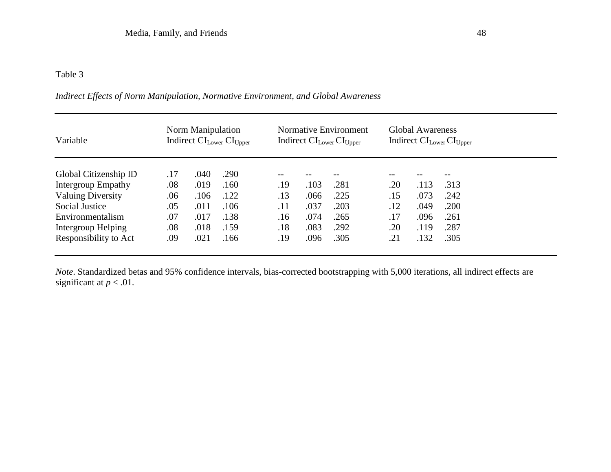## Table 3

| Variable                 | Norm Manipulation<br>Indirect CI <sub>Lower</sub> CI <sub>Upper</sub> |      |      | Normative Environment<br>Indirect $CI_{Lower}CI_{Upper}$ |      |      | <b>Global Awareness</b><br>Indirect CI <sub>Lower</sub> CI <sub>Upper</sub> |      |      |  |
|--------------------------|-----------------------------------------------------------------------|------|------|----------------------------------------------------------|------|------|-----------------------------------------------------------------------------|------|------|--|
| Global Citizenship ID    | .17                                                                   | .040 | .290 | $- -$                                                    |      |      | --                                                                          |      |      |  |
| Intergroup Empathy       | .08                                                                   | .019 | .160 | .19                                                      | .103 | .281 | .20                                                                         | .113 | .313 |  |
| <b>Valuing Diversity</b> | .06                                                                   | .106 | .122 | .13                                                      | .066 | .225 | .15                                                                         | .073 | .242 |  |
| Social Justice           | .05                                                                   | .011 | .106 | .11                                                      | .037 | .203 | .12                                                                         | .049 | .200 |  |
| Environmentalism         | .07                                                                   | .017 | .138 | .16                                                      | .074 | .265 | .17                                                                         | .096 | .261 |  |
| Intergroup Helping       | .08                                                                   | .018 | .159 | .18                                                      | .083 | .292 | .20                                                                         | .119 | .287 |  |
| Responsibility to Act    | .09                                                                   | .021 | .166 | .19                                                      | .096 | .305 | .21                                                                         | .132 | .305 |  |

## *Indirect Effects of Norm Manipulation, Normative Environment, and Global Awareness*

*Note*. Standardized betas and 95% confidence intervals, bias-corrected bootstrapping with 5,000 iterations, all indirect effects are significant at  $p < .01$ .

a.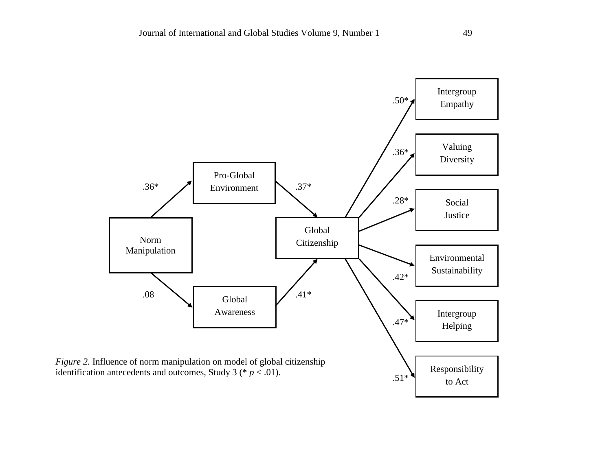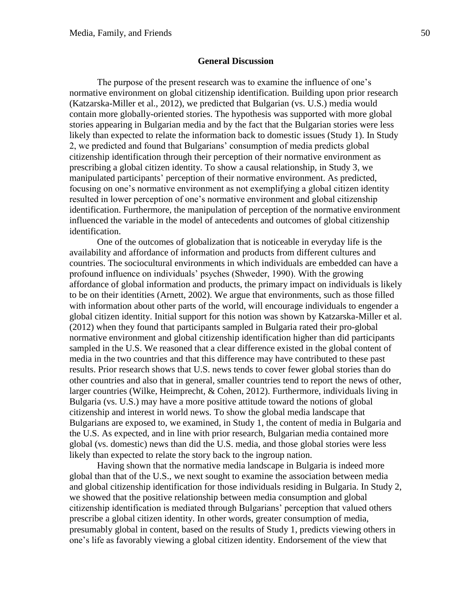#### **General Discussion**

The purpose of the present research was to examine the influence of one's normative environment on global citizenship identification. Building upon prior research (Katzarska-Miller et al., 2012), we predicted that Bulgarian (vs. U.S.) media would contain more globally-oriented stories. The hypothesis was supported with more global stories appearing in Bulgarian media and by the fact that the Bulgarian stories were less likely than expected to relate the information back to domestic issues (Study 1). In Study 2, we predicted and found that Bulgarians' consumption of media predicts global citizenship identification through their perception of their normative environment as prescribing a global citizen identity. To show a causal relationship, in Study 3, we manipulated participants' perception of their normative environment. As predicted, focusing on one's normative environment as not exemplifying a global citizen identity resulted in lower perception of one's normative environment and global citizenship identification. Furthermore, the manipulation of perception of the normative environment influenced the variable in the model of antecedents and outcomes of global citizenship identification.

One of the outcomes of globalization that is noticeable in everyday life is the availability and affordance of information and products from different cultures and countries. The sociocultural environments in which individuals are embedded can have a profound influence on individuals' psyches (Shweder, 1990). With the growing affordance of global information and products, the primary impact on individuals is likely to be on their identities (Arnett, 2002). We argue that environments, such as those filled with information about other parts of the world, will encourage individuals to engender a global citizen identity. Initial support for this notion was shown by Katzarska-Miller et al. (2012) when they found that participants sampled in Bulgaria rated their pro-global normative environment and global citizenship identification higher than did participants sampled in the U.S. We reasoned that a clear difference existed in the global content of media in the two countries and that this difference may have contributed to these past results. Prior research shows that U.S. news tends to cover fewer global stories than do other countries and also that in general, smaller countries tend to report the news of other, larger countries (Wilke, Heimprecht, & Cohen, 2012). Furthermore, individuals living in Bulgaria (vs. U.S.) may have a more positive attitude toward the notions of global citizenship and interest in world news. To show the global media landscape that Bulgarians are exposed to, we examined, in Study 1, the content of media in Bulgaria and the U.S. As expected, and in line with prior research, Bulgarian media contained more global (vs. domestic) news than did the U.S. media, and those global stories were less likely than expected to relate the story back to the ingroup nation.

Having shown that the normative media landscape in Bulgaria is indeed more global than that of the U.S., we next sought to examine the association between media and global citizenship identification for those individuals residing in Bulgaria. In Study 2, we showed that the positive relationship between media consumption and global citizenship identification is mediated through Bulgarians' perception that valued others prescribe a global citizen identity. In other words, greater consumption of media, presumably global in content, based on the results of Study 1, predicts viewing others in one's life as favorably viewing a global citizen identity. Endorsement of the view that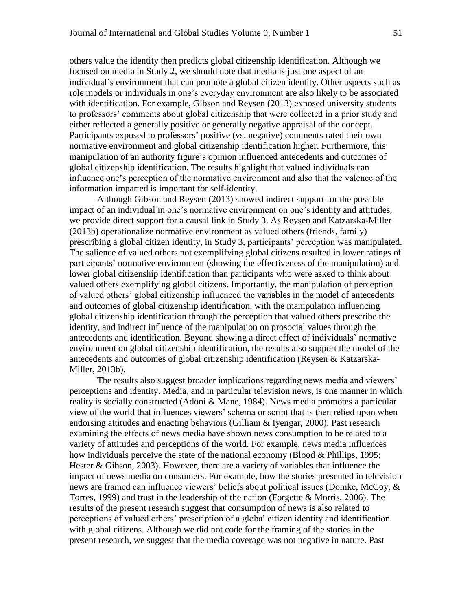others value the identity then predicts global citizenship identification. Although we focused on media in Study 2, we should note that media is just one aspect of an individual's environment that can promote a global citizen identity. Other aspects such as role models or individuals in one's everyday environment are also likely to be associated with identification. For example, Gibson and Reysen (2013) exposed university students to professors' comments about global citizenship that were collected in a prior study and either reflected a generally positive or generally negative appraisal of the concept. Participants exposed to professors' positive (vs. negative) comments rated their own normative environment and global citizenship identification higher. Furthermore, this manipulation of an authority figure's opinion influenced antecedents and outcomes of global citizenship identification. The results highlight that valued individuals can influence one's perception of the normative environment and also that the valence of the information imparted is important for self-identity.

Although Gibson and Reysen (2013) showed indirect support for the possible impact of an individual in one's normative environment on one's identity and attitudes, we provide direct support for a causal link in Study 3. As Reysen and Katzarska-Miller (2013b) operationalize normative environment as valued others (friends, family) prescribing a global citizen identity, in Study 3, participants' perception was manipulated. The salience of valued others not exemplifying global citizens resulted in lower ratings of participants' normative environment (showing the effectiveness of the manipulation) and lower global citizenship identification than participants who were asked to think about valued others exemplifying global citizens. Importantly, the manipulation of perception of valued others' global citizenship influenced the variables in the model of antecedents and outcomes of global citizenship identification, with the manipulation influencing global citizenship identification through the perception that valued others prescribe the identity, and indirect influence of the manipulation on prosocial values through the antecedents and identification. Beyond showing a direct effect of individuals' normative environment on global citizenship identification, the results also support the model of the antecedents and outcomes of global citizenship identification (Reysen & Katzarska-Miller, 2013b).

The results also suggest broader implications regarding news media and viewers' perceptions and identity. Media, and in particular television news, is one manner in which reality is socially constructed (Adoni & Mane, 1984). News media promotes a particular view of the world that influences viewers' schema or script that is then relied upon when endorsing attitudes and enacting behaviors (Gilliam & Iyengar, 2000). Past research examining the effects of news media have shown news consumption to be related to a variety of attitudes and perceptions of the world. For example, news media influences how individuals perceive the state of the national economy (Blood & Phillips, 1995; Hester & Gibson, 2003). However, there are a variety of variables that influence the impact of news media on consumers. For example, how the stories presented in television news are framed can influence viewers' beliefs about political issues (Domke, McCoy, & Torres, 1999) and trust in the leadership of the nation (Forgette & Morris, 2006). The results of the present research suggest that consumption of news is also related to perceptions of valued others' prescription of a global citizen identity and identification with global citizens. Although we did not code for the framing of the stories in the present research, we suggest that the media coverage was not negative in nature. Past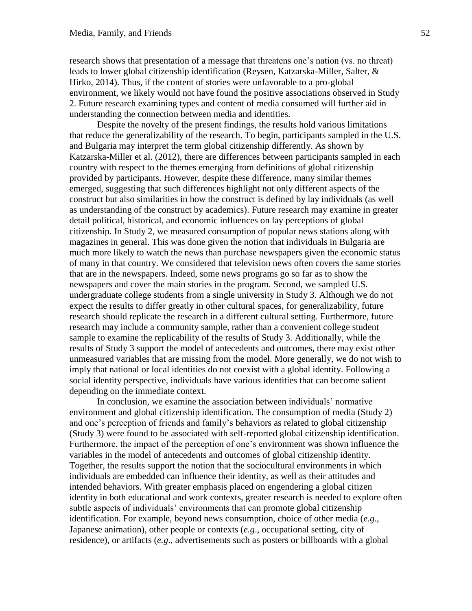research shows that presentation of a message that threatens one's nation (vs. no threat) leads to lower global citizenship identification (Reysen, Katzarska-Miller, Salter, & Hirko, 2014). Thus, if the content of stories were unfavorable to a pro-global environment, we likely would not have found the positive associations observed in Study 2. Future research examining types and content of media consumed will further aid in understanding the connection between media and identities.

Despite the novelty of the present findings, the results hold various limitations that reduce the generalizability of the research. To begin, participants sampled in the U.S. and Bulgaria may interpret the term global citizenship differently. As shown by Katzarska-Miller et al. (2012), there are differences between participants sampled in each country with respect to the themes emerging from definitions of global citizenship provided by participants. However, despite these difference, many similar themes emerged, suggesting that such differences highlight not only different aspects of the construct but also similarities in how the construct is defined by lay individuals (as well as understanding of the construct by academics). Future research may examine in greater detail political, historical, and economic influences on lay perceptions of global citizenship. In Study 2, we measured consumption of popular news stations along with magazines in general. This was done given the notion that individuals in Bulgaria are much more likely to watch the news than purchase newspapers given the economic status of many in that country. We considered that television news often covers the same stories that are in the newspapers. Indeed, some news programs go so far as to show the newspapers and cover the main stories in the program. Second, we sampled U.S. undergraduate college students from a single university in Study 3. Although we do not expect the results to differ greatly in other cultural spaces, for generalizability, future research should replicate the research in a different cultural setting. Furthermore, future research may include a community sample, rather than a convenient college student sample to examine the replicability of the results of Study 3. Additionally, while the results of Study 3 support the model of antecedents and outcomes, there may exist other unmeasured variables that are missing from the model. More generally, we do not wish to imply that national or local identities do not coexist with a global identity. Following a social identity perspective, individuals have various identities that can become salient depending on the immediate context.

In conclusion, we examine the association between individuals' normative environment and global citizenship identification. The consumption of media (Study 2) and one's perception of friends and family's behaviors as related to global citizenship (Study 3) were found to be associated with self-reported global citizenship identification. Furthermore, the impact of the perception of one's environment was shown influence the variables in the model of antecedents and outcomes of global citizenship identity. Together, the results support the notion that the sociocultural environments in which individuals are embedded can influence their identity, as well as their attitudes and intended behaviors. With greater emphasis placed on engendering a global citizen identity in both educational and work contexts, greater research is needed to explore often subtle aspects of individuals' environments that can promote global citizenship identification. For example, beyond news consumption, choice of other media (*e.g*., Japanese animation), other people or contexts (*e.g*., occupational setting, city of residence), or artifacts (*e.g*., advertisements such as posters or billboards with a global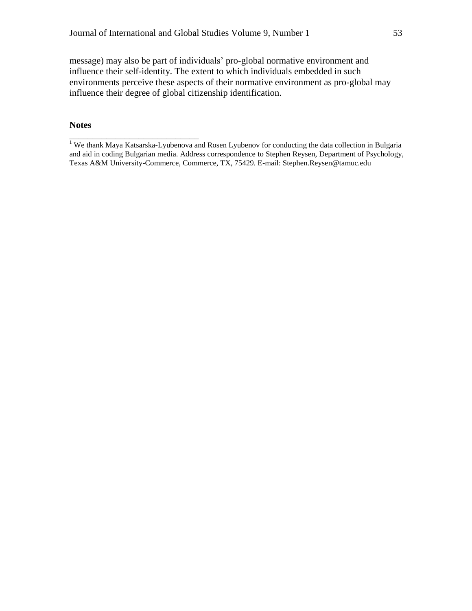message) may also be part of individuals' pro-global normative environment and influence their self-identity. The extent to which individuals embedded in such environments perceive these aspects of their normative environment as pro-global may influence their degree of global citizenship identification.

#### **Notes**

\_\_\_\_\_\_\_\_\_\_\_\_\_\_\_\_\_\_\_\_\_\_\_\_\_\_\_\_

<sup>&</sup>lt;sup>1</sup> We thank Maya Katsarska-Lyubenova and Rosen Lyubenov for conducting the data collection in Bulgaria and aid in coding Bulgarian media. Address correspondence to Stephen Reysen, Department of Psychology, Texas A&M University-Commerce, Commerce, TX, 75429. E-mail: Stephen.Reysen@tamuc.edu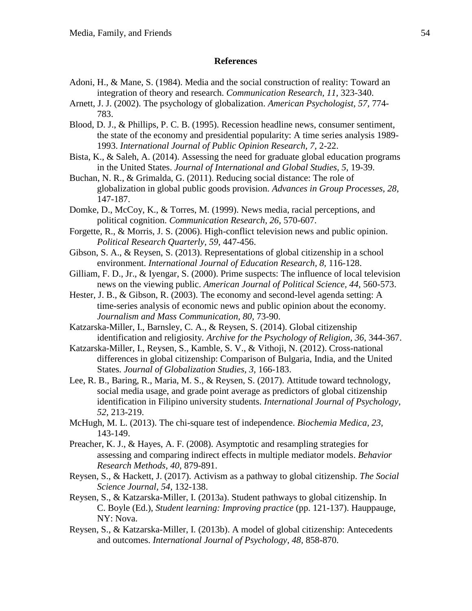#### **References**

- Adoni, H., & Mane, S. (1984). Media and the social construction of reality: Toward an integration of theory and research. *Communication Research, 11,* 323-340.
- Arnett, J. J. (2002). The psychology of globalization. *American Psychologist, 57,* 774- 783.
- Blood, D. J., & Phillips, P. C. B. (1995). Recession headline news, consumer sentiment, the state of the economy and presidential popularity: A time series analysis 1989- 1993. *International Journal of Public Opinion Research, 7,* 2-22.
- Bista, K., & Saleh, A. (2014). Assessing the need for graduate global education programs in the United States. *Journal of International and Global Studies, 5,* 19-39.
- Buchan, N. R., & Grimalda, G. (2011). Reducing social distance: The role of globalization in global public goods provision. *Advances in Group Processes, 28,* 147-187.
- Domke, D., McCoy, K., & Torres, M. (1999). News media, racial perceptions, and political cognition. *Communication Research, 26,* 570-607.
- Forgette, R., & Morris, J. S. (2006). High-conflict television news and public opinion. *Political Research Quarterly, 59,* 447-456.
- Gibson, S. A., & Reysen, S. (2013). Representations of global citizenship in a school environment. *International Journal of Education Research, 8,* 116-128.
- Gilliam, F. D., Jr., & Iyengar, S. (2000). Prime suspects: The influence of local television news on the viewing public. *American Journal of Political Science, 44,* 560-573.
- Hester, J. B., & Gibson, R. (2003). The economy and second-level agenda setting: A time-series analysis of economic news and public opinion about the economy. *Journalism and Mass Communication, 80,* 73-90.
- Katzarska-Miller, I., Barnsley, C. A., & Reysen, S. (2014). Global citizenship identification and religiosity*. Archive for the Psychology of Religion, 36,* 344-367.
- Katzarska-Miller, I., Reysen, S., Kamble, S. V., & Vithoji, N. (2012). Cross-national differences in global citizenship: Comparison of Bulgaria, India, and the United States. *Journal of Globalization Studies, 3,* 166-183.
- Lee, R. B., Baring, R., Maria, M. S., & Reysen, S. (2017). Attitude toward technology, social media usage, and grade point average as predictors of global citizenship identification in Filipino university students. *International Journal of Psychology, 52,* 213-219.
- McHugh, M. L. (2013). The chi-square test of independence. *Biochemia Medica, 23,* 143-149.
- Preacher, K. J., & Hayes, A. F. (2008). Asymptotic and resampling strategies for assessing and comparing indirect effects in multiple mediator models. *Behavior Research Methods, 40,* 879-891.
- Reysen, S., & Hackett, J. (2017). Activism as a pathway to global citizenship. *The Social Science Journal, 54,* 132-138.
- Reysen, S., & Katzarska-Miller, I. (2013a). Student pathways to global citizenship. In C. Boyle (Ed.), *Student learning: Improving practice* (pp. 121-137). Hauppauge, NY: Nova.
- Reysen, S., & Katzarska-Miller, I. (2013b). A model of global citizenship: Antecedents and outcomes. *International Journal of Psychology, 48,* 858-870.